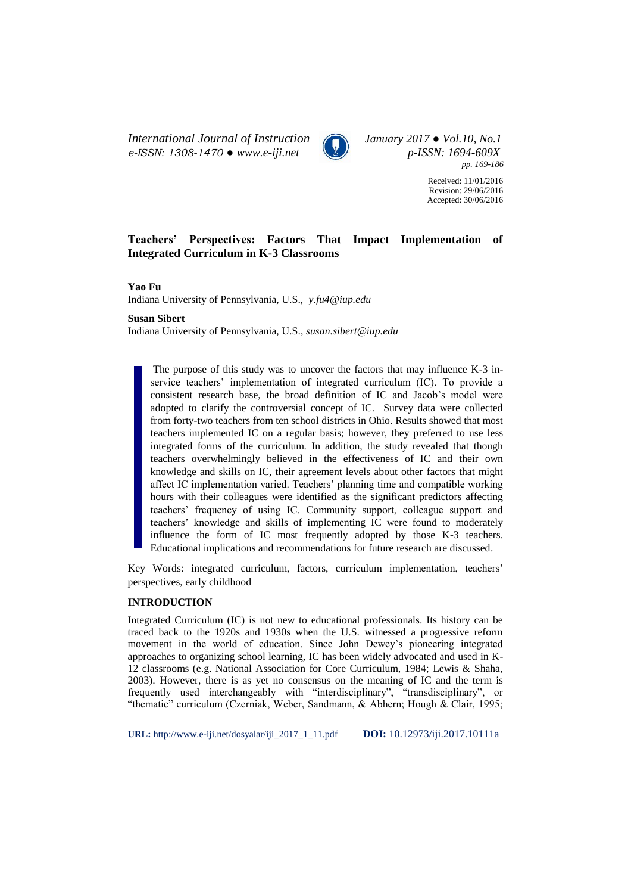*International Journal of Instruction January 2017 ● Vol.10, No.1 e-ISSN: 1308-1470 ● www.e-iji.net p-ISSN: 1694-609X*



*pp. 169-186*

Received: 11/01/2016 Revision: 29/06/2016 Accepted: 30/06/2016

# **Teachers' Perspectives: Factors That Impact Implementation of Integrated Curriculum in K-3 Classrooms**

**Yao Fu**

Indiana University of Pennsylvania, U.S., *y.fu4@iup.edu*

**Susan Sibert**

Indiana University of Pennsylvania, U.S., *susan.sibert@iup.edu*

The purpose of this study was to uncover the factors that may influence K-3 inservice teachers' implementation of integrated curriculum (IC). To provide a consistent research base, the broad definition of IC and Jacob's model were adopted to clarify the controversial concept of IC. Survey data were collected from forty-two teachers from ten school districts in Ohio. Results showed that most teachers implemented IC on a regular basis; however, they preferred to use less integrated forms of the curriculum. In addition, the study revealed that though teachers overwhelmingly believed in the effectiveness of IC and their own knowledge and skills on IC, their agreement levels about other factors that might affect IC implementation varied. Teachers' planning time and compatible working hours with their colleagues were identified as the significant predictors affecting teachers' frequency of using IC. Community support, colleague support and teachers' knowledge and skills of implementing IC were found to moderately influence the form of IC most frequently adopted by those K-3 teachers. Educational implications and recommendations for future research are discussed.

Key Words: integrated curriculum, factors, curriculum implementation, teachers' perspectives, early childhood

## **INTRODUCTION**

Integrated Curriculum (IC) is not new to educational professionals. Its history can be traced back to the 1920s and 1930s when the U.S. witnessed a progressive reform movement in the world of education. Since John Dewey's pioneering integrated approaches to organizing school learning, IC has been widely advocated and used in K-12 classrooms (e.g. National Association for Core Curriculum, 1984; Lewis & Shaha, 2003). However, there is as yet no consensus on the meaning of IC and the term is frequently used interchangeably with "interdisciplinary", "transdisciplinary", or "thematic" curriculum (Czerniak, Weber, Sandmann, & Abhern; Hough & Clair, 1995;

**URL:** http://www.e-iji.net/dosyalar/iji\_2017\_1\_11.pdf **DOI:** 10.12973/iji.2017.10111a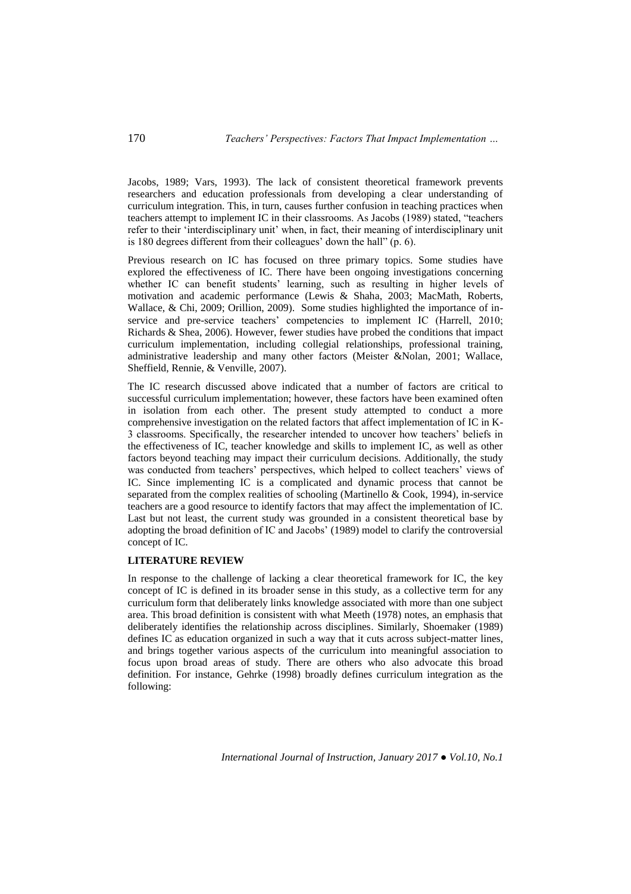Jacobs, 1989; Vars, 1993). The lack of consistent theoretical framework prevents researchers and education professionals from developing a clear understanding of curriculum integration. This, in turn, causes further confusion in teaching practices when teachers attempt to implement IC in their classrooms. As Jacobs (1989) stated, "teachers refer to their 'interdisciplinary unit' when, in fact, their meaning of interdisciplinary unit is 180 degrees different from their colleagues' down the hall" (p. 6).

Previous research on IC has focused on three primary topics. Some studies have explored the effectiveness of IC. There have been ongoing investigations concerning whether IC can benefit students' learning, such as resulting in higher levels of motivation and academic performance (Lewis & Shaha, 2003; MacMath, Roberts, Wallace, & Chi, 2009; Orillion, 2009). Some studies highlighted the importance of inservice and pre-service teachers' competencies to implement IC (Harrell, 2010; Richards & Shea, 2006). However, fewer studies have probed the conditions that impact curriculum implementation, including collegial relationships, professional training, administrative leadership and many other factors (Meister &Nolan, 2001; Wallace, Sheffield, Rennie, & Venville, 2007).

The IC research discussed above indicated that a number of factors are critical to successful curriculum implementation; however, these factors have been examined often in isolation from each other. The present study attempted to conduct a more comprehensive investigation on the related factors that affect implementation of IC in K-3 classrooms. Specifically, the researcher intended to uncover how teachers' beliefs in the effectiveness of IC, teacher knowledge and skills to implement IC, as well as other factors beyond teaching may impact their curriculum decisions. Additionally, the study was conducted from teachers' perspectives, which helped to collect teachers' views of IC. Since implementing IC is a complicated and dynamic process that cannot be separated from the complex realities of schooling (Martinello & Cook, 1994), in-service teachers are a good resource to identify factors that may affect the implementation of IC. Last but not least, the current study was grounded in a consistent theoretical base by adopting the broad definition of IC and Jacobs' (1989) model to clarify the controversial concept of IC.

## **LITERATURE REVIEW**

In response to the challenge of lacking a clear theoretical framework for IC, the key concept of IC is defined in its broader sense in this study, as a collective term for any curriculum form that deliberately links knowledge associated with more than one subject area. This broad definition is consistent with what Meeth (1978) notes, an emphasis that deliberately identifies the relationship across disciplines. Similarly, Shoemaker (1989) defines IC as education organized in such a way that it cuts across subject-matter lines, and brings together various aspects of the curriculum into meaningful association to focus upon broad areas of study. There are others who also advocate this broad definition. For instance, Gehrke (1998) broadly defines curriculum integration as the following: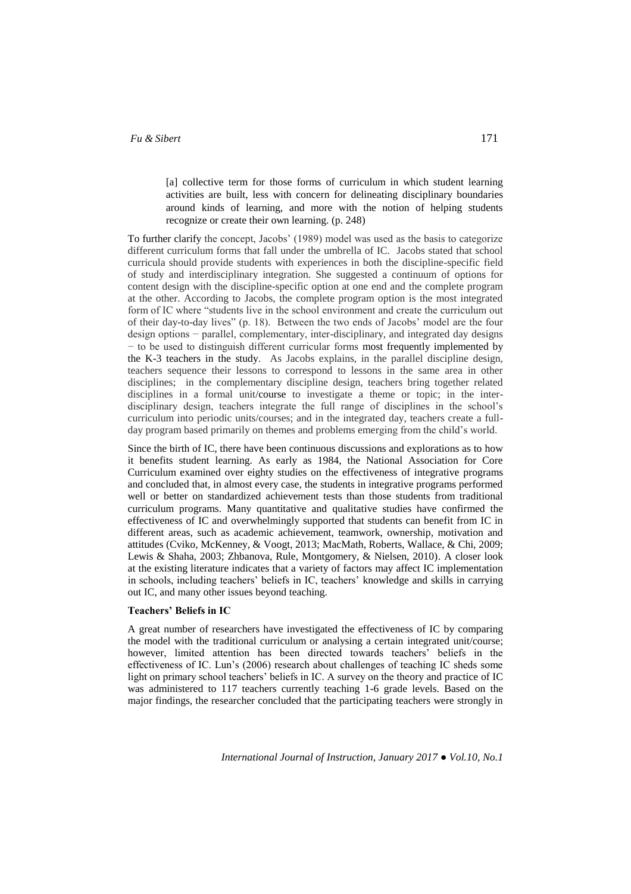## *Fu & Sibert* 171

[a] collective term for those forms of curriculum in which student learning activities are built, less with concern for delineating disciplinary boundaries around kinds of learning, and more with the notion of helping students recognize or create their own learning. (p. 248)

To further clarify the concept, Jacobs' (1989) model was used as the basis to categorize different curriculum forms that fall under the umbrella of IC. Jacobs stated that school curricula should provide students with experiences in both the discipline-specific field of study and interdisciplinary integration. She suggested a continuum of options for content design with the discipline-specific option at one end and the complete program at the other. According to Jacobs, the complete program option is the most integrated form of IC where "students live in the school environment and create the curriculum out of their day-to-day lives" (p. 18). Between the two ends of Jacobs' model are the four design options − parallel, complementary, inter-disciplinary, and integrated day designs − to be used to distinguish different curricular forms most frequently implemented by the K-3 teachers in the study. As Jacobs explains, in the parallel discipline design, teachers sequence their lessons to correspond to lessons in the same area in other disciplines; in the complementary discipline design, teachers bring together related disciplines in a formal unit/course to investigate a theme or topic; in the interdisciplinary design, teachers integrate the full range of disciplines in the school's curriculum into periodic units/courses; and in the integrated day, teachers create a fullday program based primarily on themes and problems emerging from the child's world.

Since the birth of IC, there have been continuous discussions and explorations as to how it benefits student learning. As early as 1984, the National Association for Core Curriculum examined over eighty studies on the effectiveness of integrative programs and concluded that, in almost every case, the students in integrative programs performed well or better on standardized achievement tests than those students from traditional curriculum programs. Many quantitative and qualitative studies have confirmed the effectiveness of IC and overwhelmingly supported that students can benefit from IC in different areas, such as academic achievement, teamwork, ownership, motivation and attitudes (Cviko, McKenney, & Voogt, 2013; MacMath, Roberts, Wallace, & Chi, 2009; Lewis & Shaha, 2003; Zhbanova, Rule, Montgomery, & Nielsen, 2010). A closer look at the existing literature indicates that a variety of factors may affect IC implementation in schools, including teachers' beliefs in IC, teachers' knowledge and skills in carrying out IC, and many other issues beyond teaching.

## **Teachers' Beliefs in IC**

A great number of researchers have investigated the effectiveness of IC by comparing the model with the traditional curriculum or analysing a certain integrated unit/course; however, limited attention has been directed towards teachers' beliefs in the effectiveness of IC. Lun's (2006) research about challenges of teaching IC sheds some light on primary school teachers' beliefs in IC. A survey on the theory and practice of IC was administered to 117 teachers currently teaching 1-6 grade levels. Based on the major findings, the researcher concluded that the participating teachers were strongly in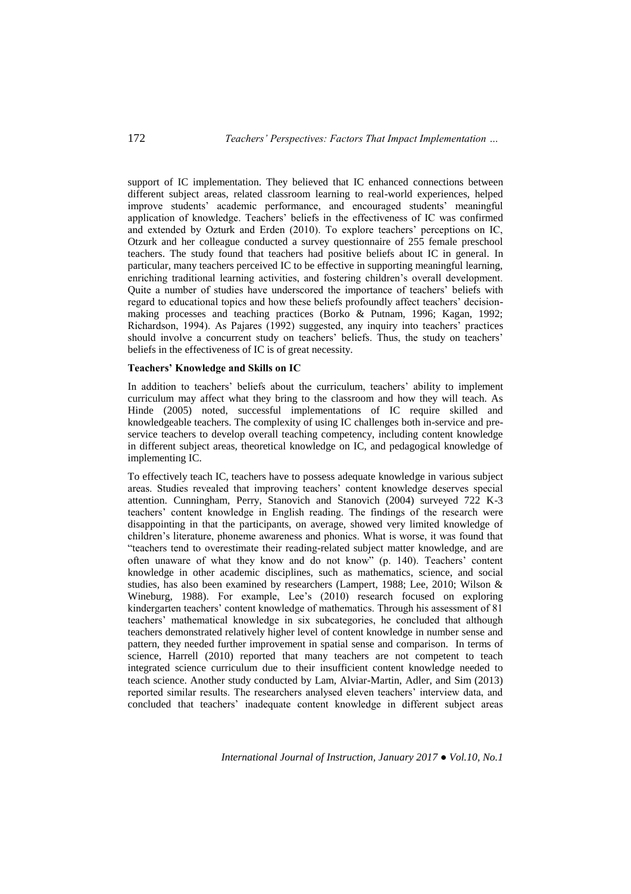support of IC implementation. They believed that IC enhanced connections between different subject areas, related classroom learning to real-world experiences, helped improve students' academic performance, and encouraged students' meaningful application of knowledge. Teachers' beliefs in the effectiveness of IC was confirmed and extended by Ozturk and Erden (2010). To explore teachers' perceptions on IC, Otzurk and her colleague conducted a survey questionnaire of 255 female preschool teachers. The study found that teachers had positive beliefs about IC in general. In particular, many teachers perceived IC to be effective in supporting meaningful learning, enriching traditional learning activities, and fostering children's overall development. Quite a number of studies have underscored the importance of teachers' beliefs with regard to educational topics and how these beliefs profoundly affect teachers' decisionmaking processes and teaching practices (Borko & Putnam, 1996; Kagan, 1992; Richardson, 1994). As Pajares (1992) suggested, any inquiry into teachers' practices should involve a concurrent study on teachers' beliefs. Thus, the study on teachers' beliefs in the effectiveness of IC is of great necessity.

## **Teachers' Knowledge and Skills on IC**

In addition to teachers' beliefs about the curriculum, teachers' ability to implement curriculum may affect what they bring to the classroom and how they will teach. As Hinde (2005) noted, successful implementations of IC require skilled and knowledgeable teachers. The complexity of using IC challenges both in-service and preservice teachers to develop overall teaching competency, including content knowledge in different subject areas, theoretical knowledge on IC, and pedagogical knowledge of implementing IC.

To effectively teach IC, teachers have to possess adequate knowledge in various subject areas. Studies revealed that improving teachers' content knowledge deserves special attention. Cunningham, Perry, Stanovich and Stanovich (2004) surveyed 722 K-3 teachers' content knowledge in English reading. The findings of the research were disappointing in that the participants, on average, showed very limited knowledge of children's literature, phoneme awareness and phonics. What is worse, it was found that "teachers tend to overestimate their reading-related subject matter knowledge, and are often unaware of what they know and do not know" (p. 140). Teachers' content knowledge in other academic disciplines, such as mathematics, science, and social studies, has also been examined by researchers (Lampert, 1988; Lee, 2010; Wilson & Wineburg, 1988). For example, Lee's (2010) research focused on exploring kindergarten teachers' content knowledge of mathematics. Through his assessment of 81 teachers' mathematical knowledge in six subcategories, he concluded that although teachers demonstrated relatively higher level of content knowledge in number sense and pattern, they needed further improvement in spatial sense and comparison. In terms of science, Harrell (2010) reported that many teachers are not competent to teach integrated science curriculum due to their insufficient content knowledge needed to teach science. Another study conducted by Lam, Alviar-Martin, Adler, and Sim (2013) reported similar results. The researchers analysed eleven teachers' interview data, and concluded that teachers' inadequate content knowledge in different subject areas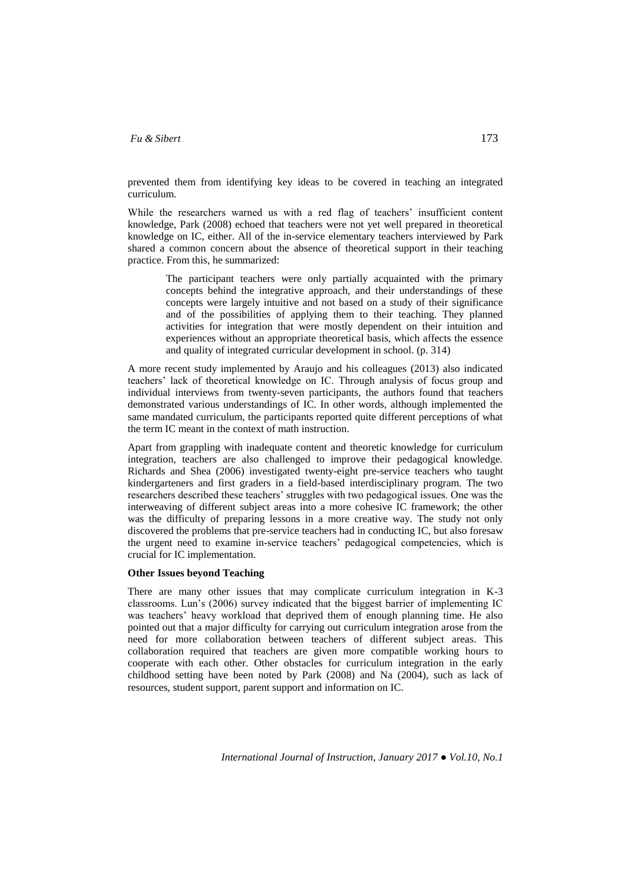## *Fu & Sibert* 173

prevented them from identifying key ideas to be covered in teaching an integrated curriculum.

While the researchers warned us with a red flag of teachers' insufficient content knowledge, Park (2008) echoed that teachers were not yet well prepared in theoretical knowledge on IC, either. All of the in-service elementary teachers interviewed by Park shared a common concern about the absence of theoretical support in their teaching practice. From this, he summarized:

> The participant teachers were only partially acquainted with the primary concepts behind the integrative approach, and their understandings of these concepts were largely intuitive and not based on a study of their significance and of the possibilities of applying them to their teaching. They planned activities for integration that were mostly dependent on their intuition and experiences without an appropriate theoretical basis, which affects the essence and quality of integrated curricular development in school. (p. 314)

A more recent study implemented by Araujo and his colleagues (2013) also indicated teachers' lack of theoretical knowledge on IC. Through analysis of focus group and individual interviews from twenty-seven participants, the authors found that teachers demonstrated various understandings of IC. In other words, although implemented the same mandated curriculum, the participants reported quite different perceptions of what the term IC meant in the context of math instruction.

Apart from grappling with inadequate content and theoretic knowledge for curriculum integration, teachers are also challenged to improve their pedagogical knowledge. Richards and Shea (2006) investigated twenty-eight pre-service teachers who taught kindergarteners and first graders in a field-based interdisciplinary program. The two researchers described these teachers' struggles with two pedagogical issues. One was the interweaving of different subject areas into a more cohesive IC framework; the other was the difficulty of preparing lessons in a more creative way. The study not only discovered the problems that pre-service teachers had in conducting IC, but also foresaw the urgent need to examine in-service teachers' pedagogical competencies, which is crucial for IC implementation.

### **Other Issues beyond Teaching**

There are many other issues that may complicate curriculum integration in K-3 classrooms. Lun's (2006) survey indicated that the biggest barrier of implementing IC was teachers' heavy workload that deprived them of enough planning time. He also pointed out that a major difficulty for carrying out curriculum integration arose from the need for more collaboration between teachers of different subject areas. This collaboration required that teachers are given more compatible working hours to cooperate with each other. Other obstacles for curriculum integration in the early childhood setting have been noted by Park (2008) and Na (2004), such as lack of resources, student support, parent support and information on IC.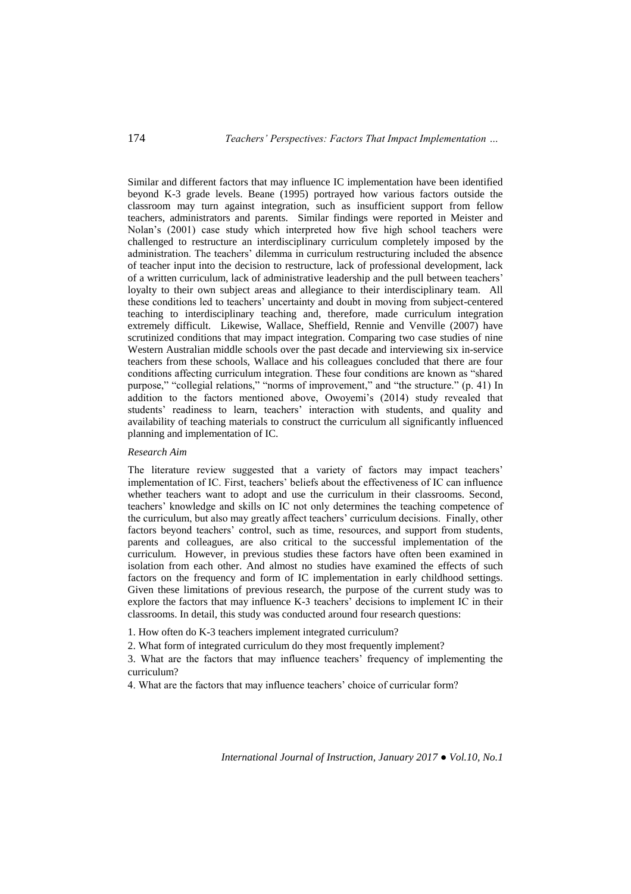Similar and different factors that may influence IC implementation have been identified beyond K-3 grade levels. Beane (1995) portrayed how various factors outside the classroom may turn against integration, such as insufficient support from fellow teachers, administrators and parents. Similar findings were reported in Meister and Nolan's (2001) case study which interpreted how five high school teachers were challenged to restructure an interdisciplinary curriculum completely imposed by the administration. The teachers' dilemma in curriculum restructuring included the absence of teacher input into the decision to restructure, lack of professional development, lack of a written curriculum, lack of administrative leadership and the pull between teachers' loyalty to their own subject areas and allegiance to their interdisciplinary team. All these conditions led to teachers' uncertainty and doubt in moving from subject-centered teaching to interdisciplinary teaching and, therefore, made curriculum integration extremely difficult. Likewise, Wallace, Sheffield, Rennie and Venville (2007) have scrutinized conditions that may impact integration. Comparing two case studies of nine Western Australian middle schools over the past decade and interviewing six in-service teachers from these schools, Wallace and his colleagues concluded that there are four conditions affecting curriculum integration. These four conditions are known as "shared purpose," "collegial relations," "norms of improvement," and "the structure." (p. 41) In addition to the factors mentioned above, Owoyemi's (2014) study revealed that students' readiness to learn, teachers' interaction with students, and quality and availability of teaching materials to construct the curriculum all significantly influenced planning and implementation of IC.

## *Research Aim*

The literature review suggested that a variety of factors may impact teachers' implementation of IC. First, teachers' beliefs about the effectiveness of IC can influence whether teachers want to adopt and use the curriculum in their classrooms. Second, teachers' knowledge and skills on IC not only determines the teaching competence of the curriculum, but also may greatly affect teachers' curriculum decisions. Finally, other factors beyond teachers' control, such as time, resources, and support from students, parents and colleagues, are also critical to the successful implementation of the curriculum. However, in previous studies these factors have often been examined in isolation from each other. And almost no studies have examined the effects of such factors on the frequency and form of IC implementation in early childhood settings. Given these limitations of previous research, the purpose of the current study was to explore the factors that may influence K-3 teachers' decisions to implement IC in their classrooms. In detail, this study was conducted around four research questions:

1. How often do K-3 teachers implement integrated curriculum?

2. What form of integrated curriculum do they most frequently implement?

3. What are the factors that may influence teachers' frequency of implementing the curriculum?

4. What are the factors that may influence teachers' choice of curricular form?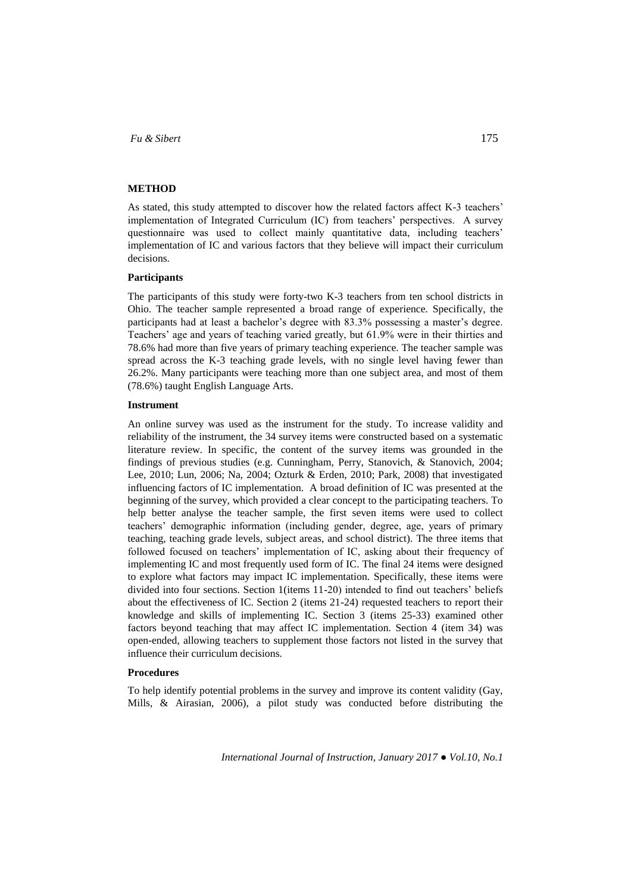### **METHOD**

As stated, this study attempted to discover how the related factors affect K-3 teachers' implementation of Integrated Curriculum (IC) from teachers' perspectives. A survey questionnaire was used to collect mainly quantitative data, including teachers' implementation of IC and various factors that they believe will impact their curriculum decisions.

### **Participants**

The participants of this study were forty-two K-3 teachers from ten school districts in Ohio. The teacher sample represented a broad range of experience. Specifically, the participants had at least a bachelor's degree with 83.3% possessing a master's degree. Teachers' age and years of teaching varied greatly, but 61.9% were in their thirties and 78.6% had more than five years of primary teaching experience. The teacher sample was spread across the K-3 teaching grade levels, with no single level having fewer than 26.2%. Many participants were teaching more than one subject area, and most of them (78.6%) taught English Language Arts.

## **Instrument**

An online survey was used as the instrument for the study. To increase validity and reliability of the instrument, the 34 survey items were constructed based on a systematic literature review. In specific, the content of the survey items was grounded in the findings of previous studies (e.g. Cunningham, Perry, Stanovich, & Stanovich, 2004; Lee, 2010; Lun, 2006; Na, 2004; Ozturk & Erden, 2010; Park, 2008) that investigated influencing factors of IC implementation. A broad definition of IC was presented at the beginning of the survey, which provided a clear concept to the participating teachers. To help better analyse the teacher sample, the first seven items were used to collect teachers' demographic information (including gender, degree, age, years of primary teaching, teaching grade levels, subject areas, and school district). The three items that followed focused on teachers' implementation of IC, asking about their frequency of implementing IC and most frequently used form of IC. The final 24 items were designed to explore what factors may impact IC implementation. Specifically, these items were divided into four sections. Section 1(items 11-20) intended to find out teachers' beliefs about the effectiveness of IC. Section 2 (items 21-24) requested teachers to report their knowledge and skills of implementing IC. Section 3 (items 25-33) examined other factors beyond teaching that may affect IC implementation. Section 4 (item 34) was open-ended, allowing teachers to supplement those factors not listed in the survey that influence their curriculum decisions.

### **Procedures**

To help identify potential problems in the survey and improve its content validity (Gay, Mills, & Airasian, 2006), a pilot study was conducted before distributing the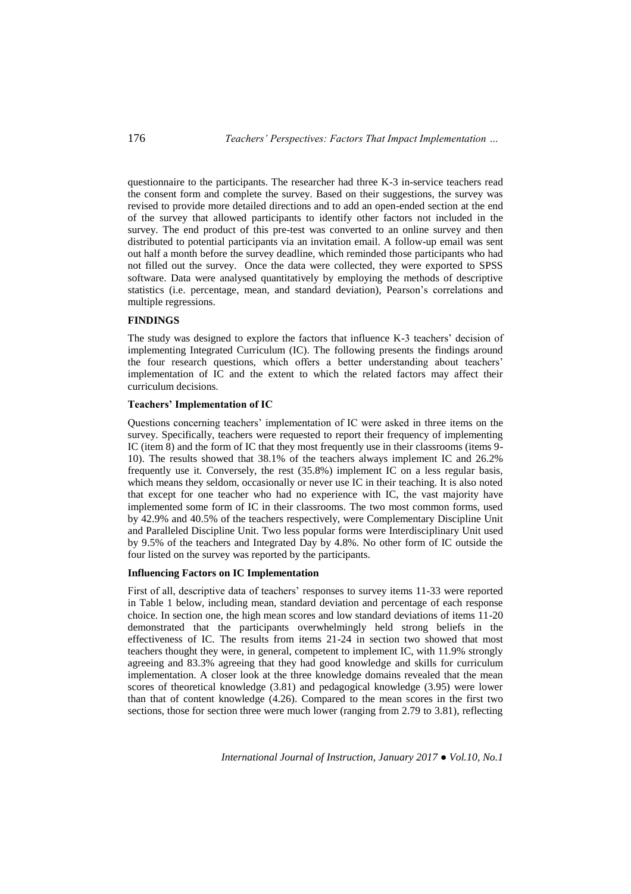questionnaire to the participants. The researcher had three K-3 in-service teachers read the consent form and complete the survey. Based on their suggestions, the survey was revised to provide more detailed directions and to add an open-ended section at the end of the survey that allowed participants to identify other factors not included in the survey. The end product of this pre-test was converted to an online survey and then distributed to potential participants via an invitation email. A follow-up email was sent out half a month before the survey deadline, which reminded those participants who had not filled out the survey. Once the data were collected, they were exported to SPSS software. Data were analysed quantitatively by employing the methods of descriptive statistics (i.e. percentage, mean, and standard deviation), Pearson's correlations and multiple regressions.

# **FINDINGS**

The study was designed to explore the factors that influence K-3 teachers' decision of implementing Integrated Curriculum (IC). The following presents the findings around the four research questions, which offers a better understanding about teachers' implementation of IC and the extent to which the related factors may affect their curriculum decisions.

## **Teachers' Implementation of IC**

Questions concerning teachers' implementation of IC were asked in three items on the survey. Specifically, teachers were requested to report their frequency of implementing IC (item 8) and the form of IC that they most frequently use in their classrooms (items 9- 10). The results showed that 38.1% of the teachers always implement IC and 26.2% frequently use it. Conversely, the rest (35.8%) implement IC on a less regular basis, which means they seldom, occasionally or never use IC in their teaching. It is also noted that except for one teacher who had no experience with IC, the vast majority have implemented some form of IC in their classrooms. The two most common forms, used by 42.9% and 40.5% of the teachers respectively, were Complementary Discipline Unit and Paralleled Discipline Unit. Two less popular forms were Interdisciplinary Unit used by 9.5% of the teachers and Integrated Day by 4.8%. No other form of IC outside the four listed on the survey was reported by the participants.

### **Influencing Factors on IC Implementation**

First of all, descriptive data of teachers' responses to survey items 11-33 were reported in Table 1 below, including mean, standard deviation and percentage of each response choice. In section one, the high mean scores and low standard deviations of items 11-20 demonstrated that the participants overwhelmingly held strong beliefs in the effectiveness of IC. The results from items 21-24 in section two showed that most teachers thought they were, in general, competent to implement IC, with 11.9% strongly agreeing and 83.3% agreeing that they had good knowledge and skills for curriculum implementation. A closer look at the three knowledge domains revealed that the mean scores of theoretical knowledge (3.81) and pedagogical knowledge (3.95) were lower than that of content knowledge (4.26). Compared to the mean scores in the first two sections, those for section three were much lower (ranging from 2.79 to 3.81), reflecting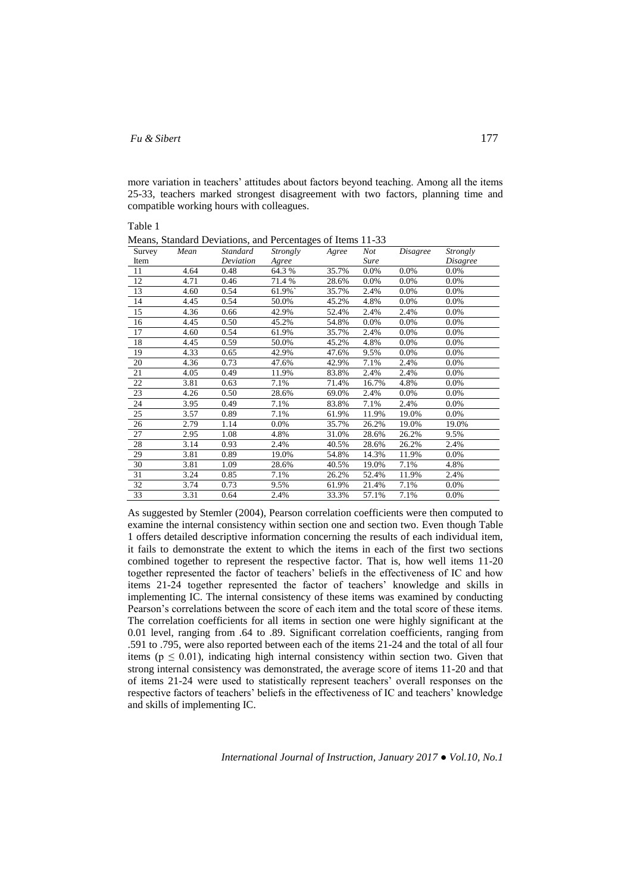## *Fu & Sibert* 177

more variation in teachers' attitudes about factors beyond teaching. Among all the items 25-33, teachers marked strongest disagreement with two factors, planning time and compatible working hours with colleagues.

Table 1

| Survey | Mean | Standard  | Strongly | Agree | Not   | <i>Disagree</i> | <i>Strongly</i> |
|--------|------|-----------|----------|-------|-------|-----------------|-----------------|
| Item   |      | Deviation | Agree    |       | Sure  |                 | Disagree        |
| 11     | 4.64 | 0.48      | 64.3%    | 35.7% | 0.0%  | 0.0%            | $0.0\%$         |
| 12     | 4.71 | 0.46      | 71.4%    | 28.6% | 0.0%  | 0.0%            | 0.0%            |
| 13     | 4.60 | 0.54      | 61.9%`   | 35.7% | 2.4%  | 0.0%            | 0.0%            |
| 14     | 4.45 | 0.54      | 50.0%    | 45.2% | 4.8%  | 0.0%            | 0.0%            |
| 15     | 4.36 | 0.66      | 42.9%    | 52.4% | 2.4%  | 2.4%            | 0.0%            |
| 16     | 4.45 | 0.50      | 45.2%    | 54.8% | 0.0%  | 0.0%            | 0.0%            |
| 17     | 4.60 | 0.54      | 61.9%    | 35.7% | 2.4%  | 0.0%            | 0.0%            |
| 18     | 4.45 | 0.59      | 50.0%    | 45.2% | 4.8%  | 0.0%            | 0.0%            |
| 19     | 4.33 | 0.65      | 42.9%    | 47.6% | 9.5%  | 0.0%            | 0.0%            |
| 20     | 4.36 | 0.73      | 47.6%    | 42.9% | 7.1%  | 2.4%            | 0.0%            |
| 21     | 4.05 | 0.49      | 11.9%    | 83.8% | 2.4%  | 2.4%            | 0.0%            |
| 22     | 3.81 | 0.63      | 7.1%     | 71.4% | 16.7% | 4.8%            | $0.0\%$         |
| 23     | 4.26 | 0.50      | 28.6%    | 69.0% | 2.4%  | 0.0%            | 0.0%            |
| 24     | 3.95 | 0.49      | 7.1%     | 83.8% | 7.1%  | 2.4%            | 0.0%            |
| 25     | 3.57 | 0.89      | 7.1%     | 61.9% | 11.9% | 19.0%           | $0.0\%$         |
| 26     | 2.79 | 1.14      | 0.0%     | 35.7% | 26.2% | 19.0%           | 19.0%           |
| 27     | 2.95 | 1.08      | 4.8%     | 31.0% | 28.6% | 26.2%           | 9.5%            |
| 28     | 3.14 | 0.93      | 2.4%     | 40.5% | 28.6% | 26.2%           | 2.4%            |
| 29     | 3.81 | 0.89      | 19.0%    | 54.8% | 14.3% | 11.9%           | 0.0%            |
| 30     | 3.81 | 1.09      | 28.6%    | 40.5% | 19.0% | 7.1%            | 4.8%            |
| 31     | 3.24 | 0.85      | 7.1%     | 26.2% | 52.4% | 11.9%           | 2.4%            |
| 32     | 3.74 | 0.73      | 9.5%     | 61.9% | 21.4% | 7.1%            | 0.0%            |
| 33     | 3.31 | 0.64      | 2.4%     | 33.3% | 57.1% | 7.1%            | 0.0%            |

Means, Standard Deviations, and Percentages of Items 11-33

As suggested by Stemler (2004), Pearson correlation coefficients were then computed to examine the internal consistency within section one and section two. Even though Table 1 offers detailed descriptive information concerning the results of each individual item, it fails to demonstrate the extent to which the items in each of the first two sections combined together to represent the respective factor. That is, how well items 11-20 together represented the factor of teachers' beliefs in the effectiveness of IC and how items 21-24 together represented the factor of teachers' knowledge and skills in implementing IC. The internal consistency of these items was examined by conducting Pearson's correlations between the score of each item and the total score of these items. The correlation coefficients for all items in section one were highly significant at the 0.01 level, ranging from .64 to .89. Significant correlation coefficients, ranging from .591 to .795, were also reported between each of the items 21-24 and the total of all four items ( $p \leq 0.01$ ), indicating high internal consistency within section two. Given that strong internal consistency was demonstrated, the average score of items 11-20 and that of items 21-24 were used to statistically represent teachers' overall responses on the respective factors of teachers' beliefs in the effectiveness of IC and teachers' knowledge and skills of implementing IC.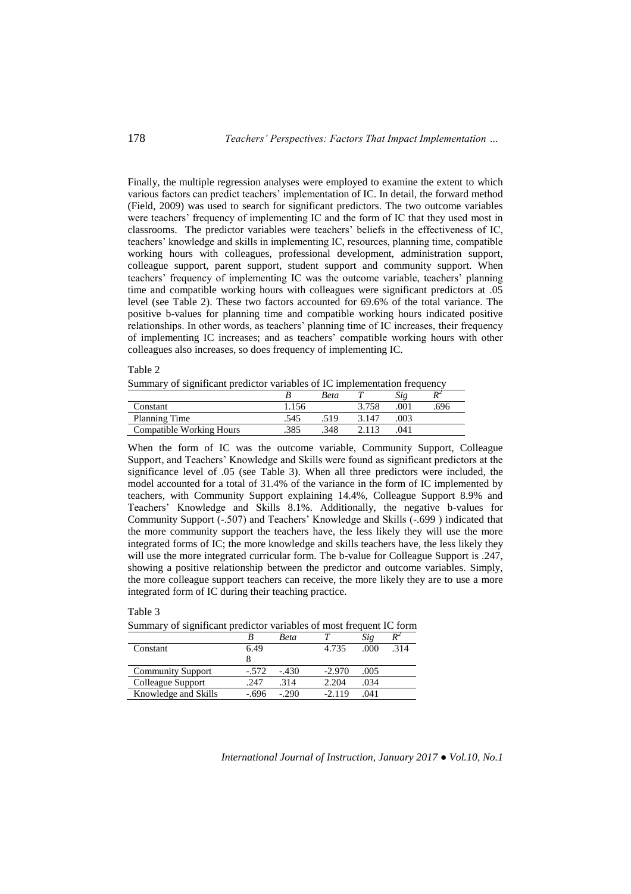Finally, the multiple regression analyses were employed to examine the extent to which various factors can predict teachers' implementation of IC. In detail, the forward method (Field, 2009) was used to search for significant predictors. The two outcome variables were teachers' frequency of implementing IC and the form of IC that they used most in classrooms. The predictor variables were teachers' beliefs in the effectiveness of IC, teachers' knowledge and skills in implementing IC, resources, planning time, compatible working hours with colleagues, professional development, administration support, colleague support, parent support, student support and community support. When teachers' frequency of implementing IC was the outcome variable, teachers' planning time and compatible working hours with colleagues were significant predictors at .05 level (see Table 2). These two factors accounted for 69.6% of the total variance. The positive b-values for planning time and compatible working hours indicated positive relationships. In other words, as teachers' planning time of IC increases, their frequency of implementing IC increases; and as teachers' compatible working hours with other colleagues also increases, so does frequency of implementing IC.

Table 2

Summary of significant predictor variables of IC implementation frequency

|                          |      | Beta |       |     |     |
|--------------------------|------|------|-------|-----|-----|
| Constant                 | .156 |      | 3.758 | 001 | 696 |
| Planning Time            | .545 | 519  | 3.147 | 003 |     |
| Compatible Working Hours | .385 | .348 |       | 041 |     |

When the form of IC was the outcome variable, Community Support, Colleague Support, and Teachers' Knowledge and Skills were found as significant predictors at the significance level of .05 (see Table 3). When all three predictors were included, the model accounted for a total of 31.4% of the variance in the form of IC implemented by teachers, with Community Support explaining 14.4%, Colleague Support 8.9% and Teachers' Knowledge and Skills 8.1%. Additionally, the negative b-values for Community Support (-.507) and Teachers' Knowledge and Skills (-.699 ) indicated that the more community support the teachers have, the less likely they will use the more integrated forms of IC; the more knowledge and skills teachers have, the less likely they will use the more integrated curricular form. The b-value for Colleague Support is .247, showing a positive relationship between the predictor and outcome variables. Simply, the more colleague support teachers can receive, the more likely they are to use a more integrated form of IC during their teaching practice.

#### Table 3

Summary of significant predictor variables of most frequent IC form

|                          |         | <b>Beta</b> |          | Sig  | $R^2$ |
|--------------------------|---------|-------------|----------|------|-------|
| Constant                 | 6.49    |             | 4.735    | .000 | 314   |
|                          |         |             |          |      |       |
| <b>Community Support</b> | $-.572$ | $-.430$     | $-2.970$ | .005 |       |
| Colleague Support        | .247    | .314        | 2.204    | .034 |       |
| Knowledge and Skills     | -.696   | $-.290$     | $-2.119$ | .041 |       |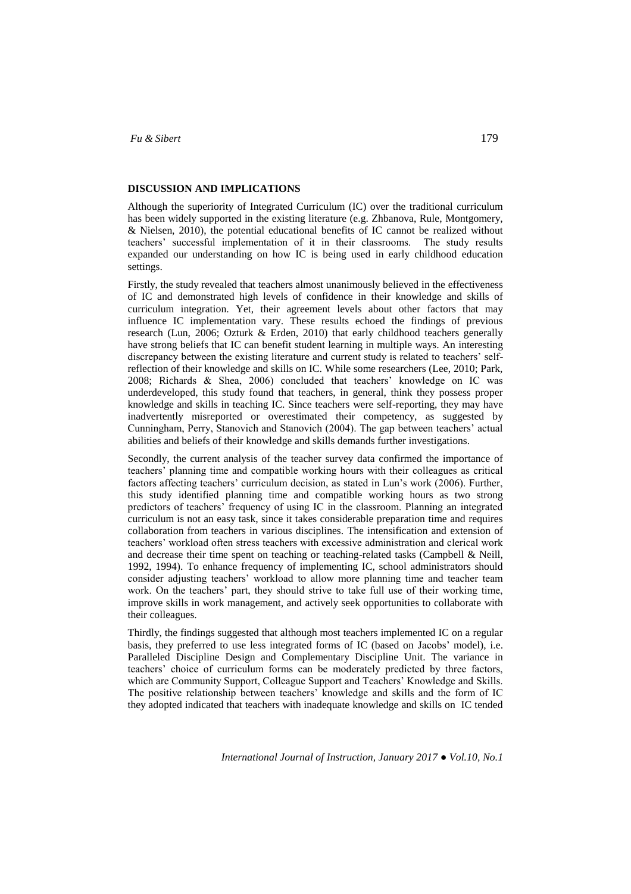#### **DISCUSSION AND IMPLICATIONS**

Although the superiority of Integrated Curriculum (IC) over the traditional curriculum has been widely supported in the existing literature (e.g. Zhbanova, Rule, Montgomery, & Nielsen, 2010), the potential educational benefits of IC cannot be realized without teachers' successful implementation of it in their classrooms. The study results expanded our understanding on how IC is being used in early childhood education settings.

Firstly, the study revealed that teachers almost unanimously believed in the effectiveness of IC and demonstrated high levels of confidence in their knowledge and skills of curriculum integration. Yet, their agreement levels about other factors that may influence IC implementation vary. These results echoed the findings of previous research (Lun, 2006; Ozturk & Erden, 2010) that early childhood teachers generally have strong beliefs that IC can benefit student learning in multiple ways. An interesting discrepancy between the existing literature and current study is related to teachers' selfreflection of their knowledge and skills on IC. While some researchers (Lee, 2010; Park, 2008; Richards & Shea, 2006) concluded that teachers' knowledge on IC was underdeveloped, this study found that teachers, in general, think they possess proper knowledge and skills in teaching IC. Since teachers were self-reporting, they may have inadvertently misreported or overestimated their competency, as suggested by Cunningham, Perry, Stanovich and Stanovich (2004). The gap between teachers' actual abilities and beliefs of their knowledge and skills demands further investigations.

Secondly, the current analysis of the teacher survey data confirmed the importance of teachers' planning time and compatible working hours with their colleagues as critical factors affecting teachers' curriculum decision, as stated in Lun's work (2006). Further, this study identified planning time and compatible working hours as two strong predictors of teachers' frequency of using IC in the classroom. Planning an integrated curriculum is not an easy task, since it takes considerable preparation time and requires collaboration from teachers in various disciplines. The intensification and extension of teachers' workload often stress teachers with excessive administration and clerical work and decrease their time spent on teaching or teaching-related tasks (Campbell  $\&$  Neill, 1992, 1994). To enhance frequency of implementing IC, school administrators should consider adjusting teachers' workload to allow more planning time and teacher team work. On the teachers' part, they should strive to take full use of their working time, improve skills in work management, and actively seek opportunities to collaborate with their colleagues.

Thirdly, the findings suggested that although most teachers implemented IC on a regular basis, they preferred to use less integrated forms of IC (based on Jacobs' model), i.e. Paralleled Discipline Design and Complementary Discipline Unit. The variance in teachers' choice of curriculum forms can be moderately predicted by three factors, which are Community Support, Colleague Support and Teachers' Knowledge and Skills. The positive relationship between teachers' knowledge and skills and the form of IC they adopted indicated that teachers with inadequate knowledge and skills on IC tended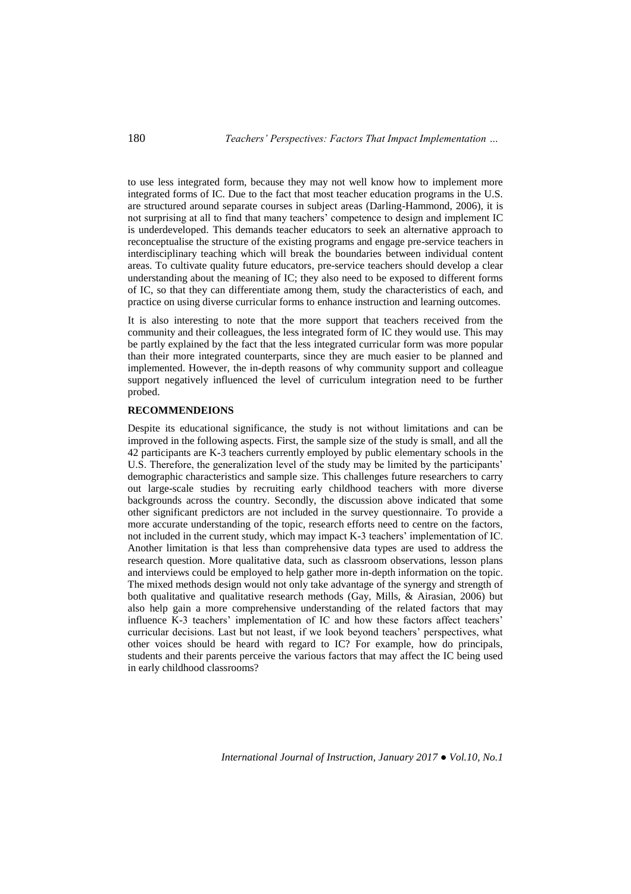to use less integrated form, because they may not well know how to implement more integrated forms of IC. Due to the fact that most teacher education programs in the U.S. are structured around separate courses in subject areas (Darling-Hammond, 2006), it is not surprising at all to find that many teachers' competence to design and implement IC is underdeveloped. This demands teacher educators to seek an alternative approach to reconceptualise the structure of the existing programs and engage pre-service teachers in interdisciplinary teaching which will break the boundaries between individual content areas. To cultivate quality future educators, pre-service teachers should develop a clear understanding about the meaning of IC; they also need to be exposed to different forms of IC, so that they can differentiate among them, study the characteristics of each, and practice on using diverse curricular forms to enhance instruction and learning outcomes.

It is also interesting to note that the more support that teachers received from the community and their colleagues, the less integrated form of IC they would use. This may be partly explained by the fact that the less integrated curricular form was more popular than their more integrated counterparts, since they are much easier to be planned and implemented. However, the in-depth reasons of why community support and colleague support negatively influenced the level of curriculum integration need to be further probed.

### **RECOMMENDEIONS**

Despite its educational significance, the study is not without limitations and can be improved in the following aspects. First, the sample size of the study is small, and all the 42 participants are K-3 teachers currently employed by public elementary schools in the U.S. Therefore, the generalization level of the study may be limited by the participants' demographic characteristics and sample size. This challenges future researchers to carry out large-scale studies by recruiting early childhood teachers with more diverse backgrounds across the country. Secondly, the discussion above indicated that some other significant predictors are not included in the survey questionnaire. To provide a more accurate understanding of the topic, research efforts need to centre on the factors, not included in the current study, which may impact K-3 teachers' implementation of IC. Another limitation is that less than comprehensive data types are used to address the research question. More qualitative data, such as classroom observations, lesson plans and interviews could be employed to help gather more in-depth information on the topic. The mixed methods design would not only take advantage of the synergy and strength of both qualitative and qualitative research methods (Gay, Mills, & Airasian, 2006) but also help gain a more comprehensive understanding of the related factors that may influence K-3 teachers' implementation of IC and how these factors affect teachers' curricular decisions. Last but not least, if we look beyond teachers' perspectives, what other voices should be heard with regard to IC? For example, how do principals, students and their parents perceive the various factors that may affect the IC being used in early childhood classrooms?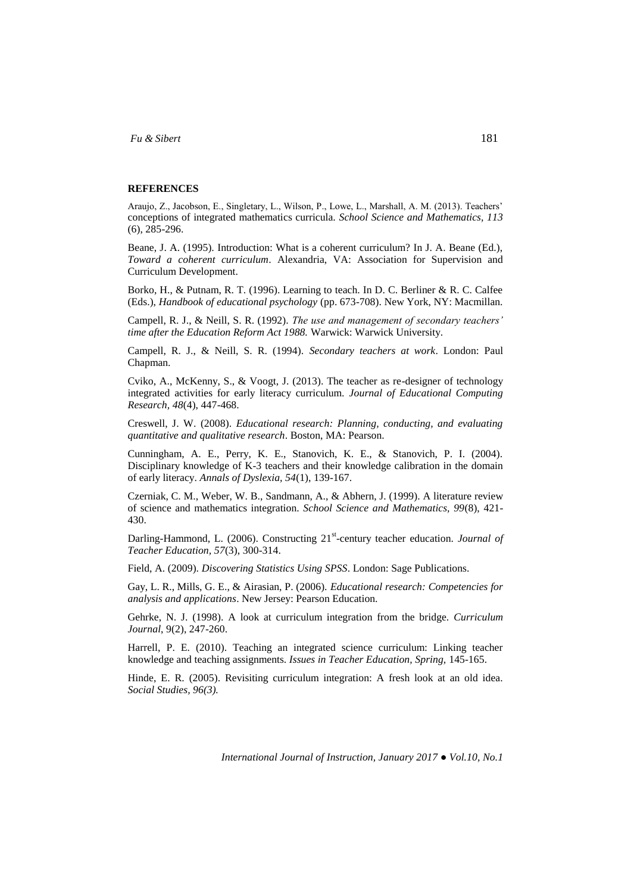#### **REFERENCES**

Araujo, Z., Jacobson, E., Singletary, L., Wilson, P., Lowe, L., Marshall, A. M. (2013). Teachers' conceptions of integrated mathematics curricula. *School Science and Mathematics, 113* (6), 285-296.

Beane, J. A. (1995). Introduction: What is a coherent curriculum? In J. A. Beane (Ed.), *Toward a coherent curriculum*. Alexandria, VA: Association for Supervision and Curriculum Development.

Borko, H., & Putnam, R. T. (1996). Learning to teach. In D. C. Berliner & R. C. Calfee (Eds.), *Handbook of educational psychology* (pp. 673-708). New York, NY: Macmillan.

Campell, R. J., & Neill, S. R. (1992). *The use and management of secondary teachers' time after the Education Reform Act 1988.* Warwick: Warwick University.

Campell, R. J., & Neill, S. R. (1994). *Secondary teachers at work*. London: Paul Chapman.

Cviko, A., McKenny, S., & Voogt, J. (2013). The teacher as re-designer of technology integrated activities for early literacy curriculum. *Journal of Educational Computing Research, 48*(4), 447-468.

Creswell, J. W. (2008). *Educational research: Planning, conducting, and evaluating quantitative and qualitative research*. Boston, MA: Pearson.

Cunningham, A. E., Perry, K. E., Stanovich, K. E., & Stanovich, P. I. (2004). Disciplinary knowledge of K-3 teachers and their knowledge calibration in the domain of early literacy. *Annals of Dyslexia, 54*(1), 139-167.

Czerniak, C. M., Weber, W. B., Sandmann, A., & Abhern, J. (1999). A literature review of science and mathematics integration. *School Science and Mathematics, 99*(8), 421- 430.

Darling-Hammond, L. (2006). Constructing 21<sup>st</sup>-century teacher education. *Journal of Teacher Education, 57*(3), 300-314.

Field, A. (2009). *Discovering Statistics Using SPSS*. London: Sage Publications.

Gay, L. R., Mills, G. E., & Airasian, P. (2006). *Educational research: Competencies for analysis and applications*. New Jersey: Pearson Education.

Gehrke, N. J. (1998). A look at curriculum integration from the bridge. *Curriculum Journal*, 9(2), 247-260.

Harrell, P. E. (2010). Teaching an integrated science curriculum: Linking teacher knowledge and teaching assignments. *Issues in Teacher Education, Spring,* 145-165.

Hinde, E. R. (2005). Revisiting curriculum integration: A fresh look at an old idea. *Social Studies, 96(3).*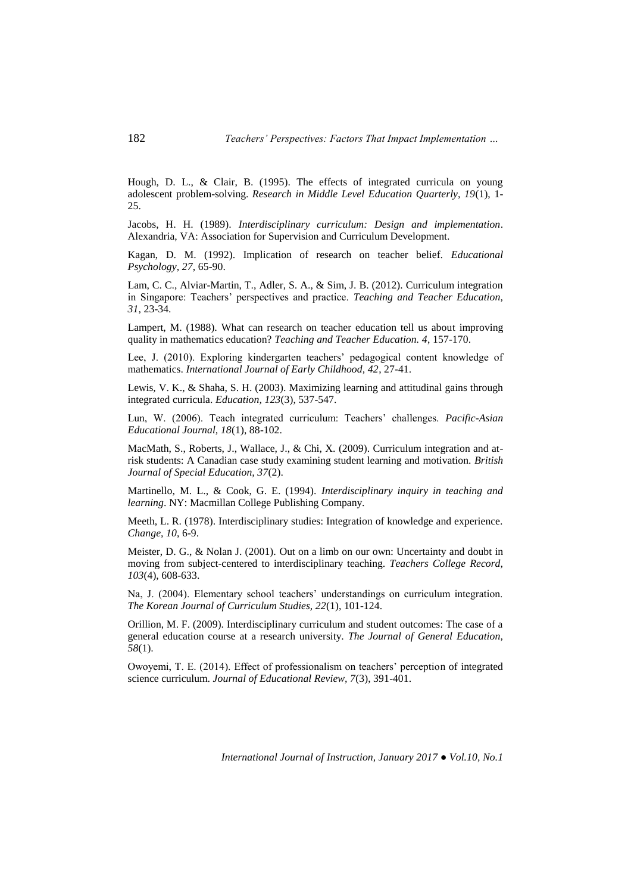Hough, D. L., & Clair, B. (1995). The effects of integrated curricula on young adolescent problem-solving. *Research in Middle Level Education Quarterly, 19*(1), 1- 25.

Jacobs, H. H. (1989). *Interdisciplinary curriculum: Design and implementation*. Alexandria, VA: Association for Supervision and Curriculum Development.

Kagan, D. M. (1992). Implication of research on teacher belief. *Educational Psychology, 27*, 65-90.

Lam, C. C., Alviar-Martin, T., Adler, S. A., & Sim, J. B. (2012). Curriculum integration in Singapore: Teachers' perspectives and practice. *Teaching and Teacher Education, 31*, 23-34.

Lampert, M. (1988). What can research on teacher education tell us about improving quality in mathematics education? *Teaching and Teacher Education. 4*, 157-170.

Lee, J. (2010). Exploring kindergarten teachers' pedagogical content knowledge of mathematics. *International Journal of Early Childhood, 42*, 27-41.

Lewis, V. K., & Shaha, S. H. (2003). Maximizing learning and attitudinal gains through integrated curricula. *Education, 123*(3), 537-547.

Lun, W. (2006). Teach integrated curriculum: Teachers' challenges. *Pacific-Asian Educational Journal, 18*(1), 88-102.

MacMath, S., Roberts, J., Wallace, J., & Chi, X. (2009). Curriculum integration and atrisk students: A Canadian case study examining student learning and motivation. *British Journal of Special Education, 37*(2).

Martinello, M. L., & Cook, G. E. (1994). *Interdisciplinary inquiry in teaching and learning*. NY: Macmillan College Publishing Company.

Meeth, L. R. (1978). Interdisciplinary studies: Integration of knowledge and experience. *Change, 10*, 6-9.

Meister, D. G., & Nolan J. (2001). Out on a limb on our own: Uncertainty and doubt in moving from subject-centered to interdisciplinary teaching. *Teachers College Record, 103*(4), 608-633.

Na, J. (2004). Elementary school teachers' understandings on curriculum integration. *The Korean Journal of Curriculum Studies, 22*(1), 101-124.

Orillion, M. F. (2009). Interdisciplinary curriculum and student outcomes: The case of a general education course at a research university. *The Journal of General Education, 58*(1).

Owoyemi, T. E. (2014). Effect of professionalism on teachers' perception of integrated science curriculum. *Journal of Educational Review, 7*(3), 391-401.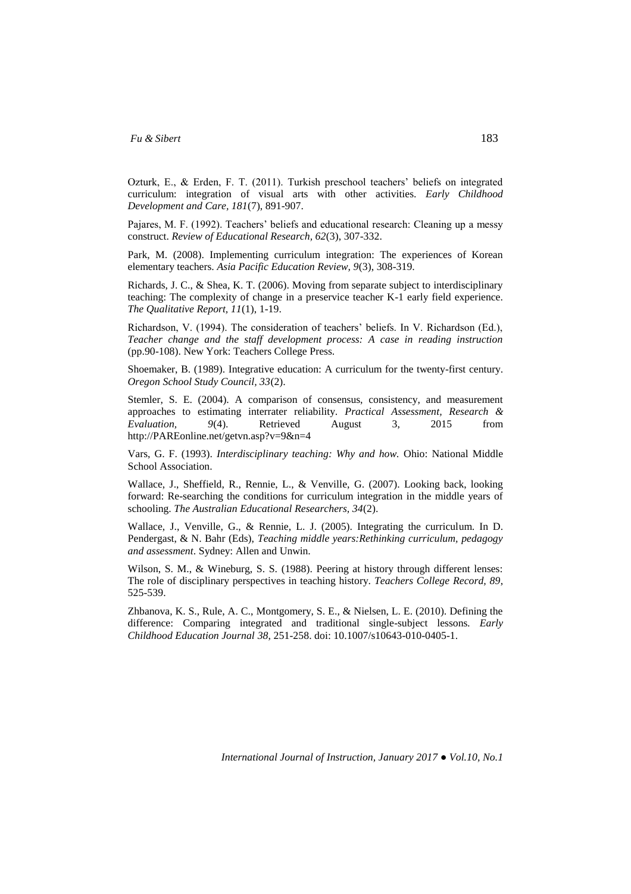Ozturk, E., & Erden, F. T. (2011). Turkish preschool teachers' beliefs on integrated curriculum: integration of visual arts with other activities. *Early Childhood Development and Care, 181*(7), 891-907.

Pajares, M. F. (1992). Teachers' beliefs and educational research: Cleaning up a messy construct. *Review of Educational Research, 62*(3), 307-332.

Park, M. (2008). Implementing curriculum integration: The experiences of Korean elementary teachers. *Asia Pacific Education Review, 9*(3), 308-319.

Richards, J. C., & Shea, K. T. (2006). Moving from separate subject to interdisciplinary teaching: The complexity of change in a preservice teacher K-1 early field experience. *The Qualitative Report, 11*(1), 1-19.

Richardson, V. (1994). The consideration of teachers' beliefs. In V. Richardson (Ed.), *Teacher change and the staff development process: A case in reading instruction* (pp.90-108). New York: Teachers College Press.

Shoemaker, B. (1989). Integrative education: A curriculum for the twenty-first century. *Oregon School Study Council, 33*(2).

Stemler, S. E. (2004). A comparison of consensus, consistency, and measurement approaches to estimating interrater reliability. *Practical Assessment, Research & Evaluation, 9*(4). Retrieved August 3, 2015 from http://PAREonline.net/getvn.asp?v=9&n=4

Vars, G. F. (1993). *Interdisciplinary teaching: Why and how.* Ohio: National Middle School Association.

Wallace, J., Sheffield, R., Rennie, L., & Venville, G. (2007). Looking back, looking forward: Re-searching the conditions for curriculum integration in the middle years of schooling. *The Australian Educational Researchers, 34*(2).

Wallace, J., Venville, G., & Rennie, L. J. (2005). Integrating the curriculum. In D. Pendergast, & N. Bahr (Eds), *Teaching middle years:Rethinking curriculum, pedagogy and assessment*. Sydney: Allen and Unwin.

Wilson, S. M., & Wineburg, S. S. (1988). Peering at history through different lenses: The role of disciplinary perspectives in teaching history. *Teachers College Record, 89*, 525-539.

Zhbanova, K. S., Rule, A. C., Montgomery, S. E., & Nielsen, L. E. (2010). Defining the difference: Comparing integrated and traditional single-subject lessons*. Early Childhood Education Journal 38*, 251-258. doi: 10.1007/s10643-010-0405-1.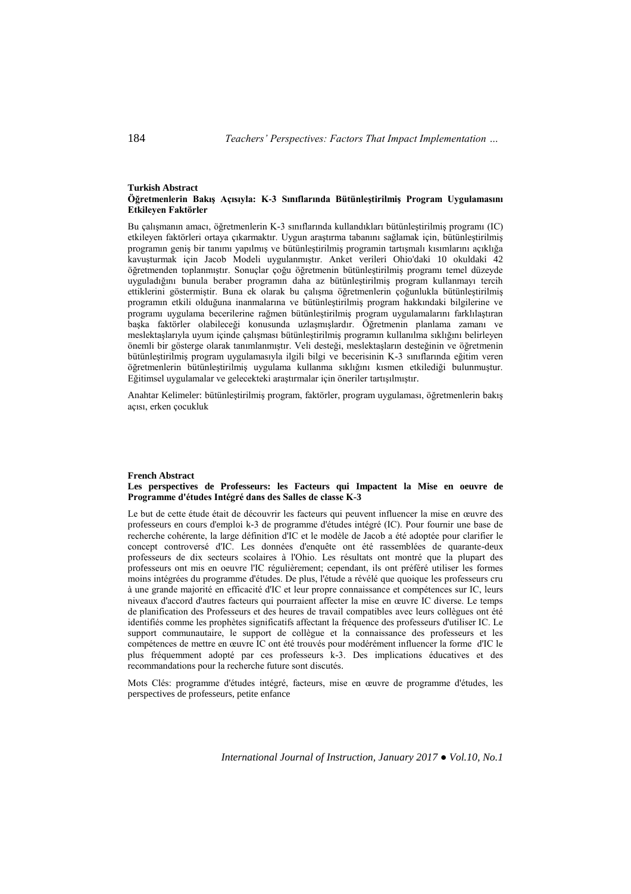#### **Turkish Abstract Öğretmenlerin Bakış Açısıyla: K-3 Sınıflarında Bütünleştirilmiş Program Uygulamasını Etkileyen Faktörler**

Bu çalışmanın amacı, öğretmenlerin K-3 sınıflarında kullandıkları bütünleştirilmiş programı (IC) etkileyen faktörleri ortaya çıkarmaktır. Uygun araştırma tabanını sağlamak için, bütünleştirilmiş programın geniş bir tanımı yapılmış ve bütünleştirilmiş programin tartışmalı kısımlarını açıklığa kavuşturmak için Jacob Modeli uygulanmıştır. Anket verileri Ohio'daki 10 okuldaki 42 öğretmenden toplanmıştır. Sonuçlar çoğu öğretmenin bütünleştirilmiş programı temel düzeyde uyguladığını bunula beraber programın daha az bütünleştirilmiş program kullanmayı tercih ettiklerini göstermiştir. Buna ek olarak bu çalışma öğretmenlerin çoğunlukla bütünleştirilmiş programın etkili olduğuna inanmalarına ve bütünleştirilmiş program hakkındaki bilgilerine ve programı uygulama becerilerine rağmen bütünleştirilmiş program uygulamalarını farklılaştıran başka faktörler olabileceği konusunda uzlaşmışlardır. Öğretmenin planlama zamanı ve meslektaşlarıyla uyum içinde çalışması bütünleştirilmiş programın kullanılma sıklığını belirleyen önemli bir gösterge olarak tanımlanmıştır. Veli desteği, meslektaşların desteğinin ve öğretmenin bütünleştirilmiş program uygulamasıyla ilgili bilgi ve becerisinin K-3 sınıflarında eğitim veren öğretmenlerin bütünleştirilmiş uygulama kullanma sıklığını kısmen etkilediği bulunmuştur. Eğitimsel uygulamalar ve gelecekteki araştırmalar için öneriler tartışılmıştır.

Anahtar Kelimeler: bütünleştirilmiş program, faktörler, program uygulaması, öğretmenlerin bakış açısı, erken çocukluk

#### **French Abstract Les perspectives de Professeurs: les Facteurs qui Impactent la Mise en oeuvre de Programme d'études Intégré dans des Salles de classe K-3**

Le but de cette étude était de découvrir les facteurs qui peuvent influencer la mise en œuvre des professeurs en cours d'emploi k-3 de programme d'études intégré (IC). Pour fournir une base de recherche cohérente, la large définition d'IC et le modèle de Jacob a été adoptée pour clarifier le concept controversé d'IC. Les données d'enquête ont été rassemblées de quarante-deux professeurs de dix secteurs scolaires à l'Ohio. Les résultats ont montré que la plupart des professeurs ont mis en oeuvre l'IC régulièrement; cependant, ils ont préféré utiliser les formes moins intégrées du programme d'études. De plus, l'étude a révélé que quoique les professeurs cru à une grande majorité en efficacité d'IC et leur propre connaissance et compétences sur IC, leurs niveaux d'accord d'autres facteurs qui pourraient affecter la mise en œuvre IC diverse. Le temps de planification des Professeurs et des heures de travail compatibles avec leurs collègues ont été identifiés comme les prophètes significatifs affectant la fréquence des professeurs d'utiliser IC. Le support communautaire, le support de collègue et la connaissance des professeurs et les compétences de mettre en œuvre IC ont été trouvés pour modérément influencer la forme d'IC le plus fréquemment adopté par ces professeurs k-3. Des implications éducatives et des recommandations pour la recherche future sont discutés.

Mots Clés: programme d'études intégré, facteurs, mise en œuvre de programme d'études, les perspectives de professeurs, petite enfance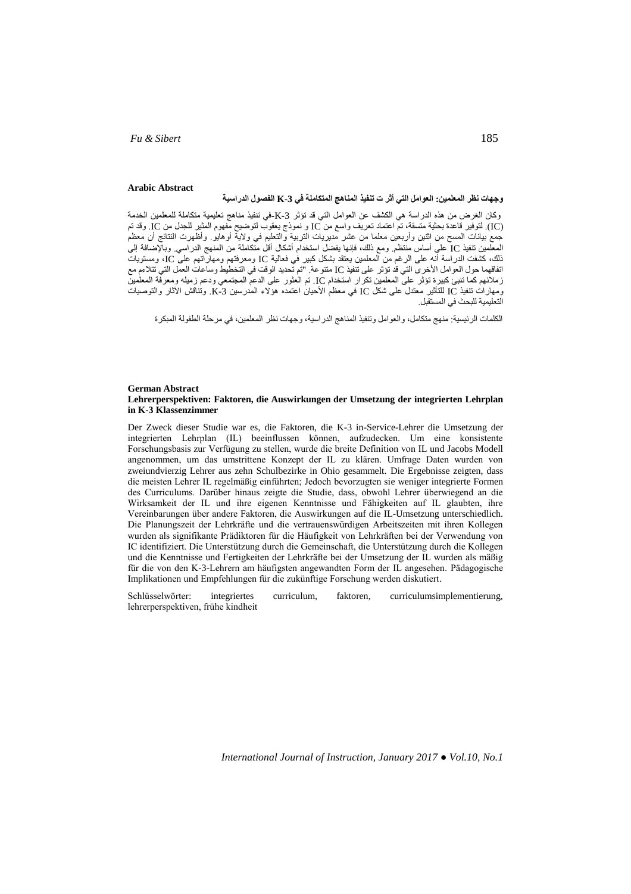### **Arabic Abstract**

## **وجهات نظر المعلمين: العوامل التي أثر ت تنفيذ المناهج المتكاملة في -3K الفصول الدراسية**

وكان الغرض من هذه الدراسة هي الكشف عن العوامل التي قد تؤثر -3K-في تنفيذ مناهج تعليمية متكاملة للمعلمين الخدمة )IC). لتوفير قاعدة بحثية متسقة، تم اعتماد تعريف واسع من IC و نموذج يعقوب لتوضيح مفهوم المثير للجدل من IC. وقد تم جمع بيانات المسح من اثنين وأربعين معلما من عشر مديريات التربية والتعليم في والية أوهايو. وأظهرت النتائج أن معظم المعلمين تنفيذ IC على أساس منتظم. ومع ذلك، فإنها يفضل استخدام أشكال أقل متكاملة من المنهج الدراسي. وباإلضافة إلى ذلك، كشفت الدراسة أنه على الرغم من المعلمين يعتقد بشكل كبير في فعالية IC ومعرفتهم ومهاراتهم على IC، ومستويات اتفاقهما حول العوامل األخرى التي قد تؤثر على تنفيذ IC متنوعة. "تم تحديد الوقت في التخطيط وساعات العمل التي تتالءم مع زمالئهم كما تنبئ كبيرة تؤثر على المعلمين تكرار استخدام IC. تم العثور على الدعم المجتمعي ودعم زميله ومعرفة المعلمين ومهارات تنفيذ IC للتأثير معتدل على شكل IC في معظم األحيان اعتمده هؤالء المدرسين -3K. وتناقش اآلثار والتوصيات التعليمية للبحث في المستقبل.

الكلمات الرئيسية: منهج متكامل، والعوامل وتنفيذ المناهج الدراسية، وجهات نظر المعلمين، في مرحلة الطفولة المبكرة

#### **German Abstract Lehrerperspektiven: Faktoren, die Auswirkungen der Umsetzung der integrierten Lehrplan in K-3 Klassenzimmer**

Der Zweck dieser Studie war es, die Faktoren, die K-3 in-Service-Lehrer die Umsetzung der integrierten Lehrplan (IL) beeinflussen können, aufzudecken. Um eine konsistente Forschungsbasis zur Verfügung zu stellen, wurde die breite Definition von IL und Jacobs Modell angenommen, um das umstrittene Konzept der IL zu klären. Umfrage Daten wurden von zweiundvierzig Lehrer aus zehn Schulbezirke in Ohio gesammelt. Die Ergebnisse zeigten, dass die meisten Lehrer IL regelmäßig einführten; Jedoch bevorzugten sie weniger integrierte Formen des Curriculums. Darüber hinaus zeigte die Studie, dass, obwohl Lehrer überwiegend an die Wirksamkeit der IL und ihre eigenen Kenntnisse und Fähigkeiten auf IL glaubten, ihre Vereinbarungen über andere Faktoren, die Auswirkungen auf die IL-Umsetzung unterschiedlich. Die Planungszeit der Lehrkräfte und die vertrauenswürdigen Arbeitszeiten mit ihren Kollegen wurden als signifikante Prädiktoren für die Häufigkeit von Lehrkräften bei der Verwendung von IC identifiziert. Die Unterstützung durch die Gemeinschaft, die Unterstützung durch die Kollegen und die Kenntnisse und Fertigkeiten der Lehrkräfte bei der Umsetzung der IL wurden als mäßig für die von den K-3-Lehrern am häufigsten angewandten Form der IL angesehen. Pädagogische Implikationen und Empfehlungen für die zukünftige Forschung werden diskutiert.

Schlüsselwörter: integriertes curriculum, faktoren, curriculumsimplementierung, lehrerperspektiven, frühe kindheit